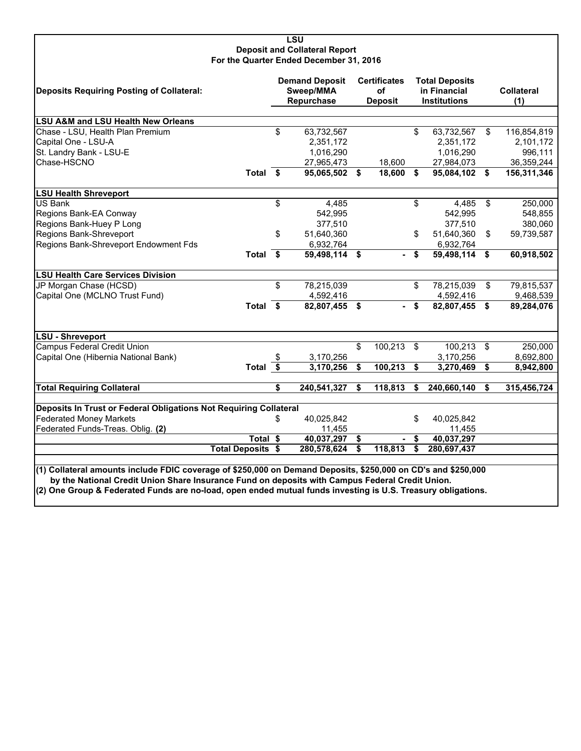#### **LSU Deposit and Collateral Report For the Quarter Ended December 31, 2016**

| Deposits Requiring Posting of Collateral:                                                                                                                                                                        |                          |    | <b>Demand Deposit</b><br>Sweep/MMA<br>Repurchase |    | <b>Certificates</b><br>οf<br><b>Deposit</b> |                                      | <b>Total Deposits</b><br>in Financial<br><b>Institutions</b> |     | <b>Collateral</b><br>(1) |  |
|------------------------------------------------------------------------------------------------------------------------------------------------------------------------------------------------------------------|--------------------------|----|--------------------------------------------------|----|---------------------------------------------|--------------------------------------|--------------------------------------------------------------|-----|--------------------------|--|
| <b>LSU A&amp;M and LSU Health New Orleans</b>                                                                                                                                                                    |                          |    |                                                  |    |                                             |                                      |                                                              |     |                          |  |
| Chase - LSU, Health Plan Premium                                                                                                                                                                                 |                          | \$ | 63,732,567                                       |    |                                             | \$                                   | 63,732,567                                                   | \$  | 116,854,819              |  |
| Capital One - LSU-A                                                                                                                                                                                              |                          |    | 2,351,172                                        |    |                                             |                                      | 2,351,172                                                    |     | 2,101,172                |  |
| St. Landry Bank - LSU-E                                                                                                                                                                                          |                          |    | 1,016,290                                        |    |                                             |                                      | 1,016,290                                                    |     | 996,111                  |  |
| Chase-HSCNO                                                                                                                                                                                                      |                          |    | 27,965,473                                       |    | 18,600                                      |                                      | 27,984,073                                                   |     | 36,359,244               |  |
|                                                                                                                                                                                                                  | Total \$                 |    | 95,065,502 \$                                    |    | 18,600                                      | \$                                   | 95,084,102 \$                                                |     | 156,311,346              |  |
| <b>LSU Health Shreveport</b>                                                                                                                                                                                     |                          |    |                                                  |    |                                             |                                      |                                                              |     |                          |  |
| <b>US Bank</b>                                                                                                                                                                                                   |                          | \$ | 4,485                                            |    |                                             | \$                                   | 4,485                                                        | \$  | 250,000                  |  |
| Regions Bank-EA Conway                                                                                                                                                                                           |                          |    | 542,995                                          |    |                                             |                                      | 542,995                                                      |     | 548,855                  |  |
| Regions Bank-Huey P Long                                                                                                                                                                                         |                          |    | 377,510                                          |    |                                             |                                      | 377,510                                                      |     | 380,060                  |  |
| Regions Bank-Shreveport                                                                                                                                                                                          |                          | \$ | 51,640,360                                       |    |                                             | \$                                   | 51.640.360                                                   | \$  | 59,739,587               |  |
| Regions Bank-Shreveport Endowment Fds                                                                                                                                                                            |                          |    | 6,932,764                                        |    |                                             |                                      | 6,932,764                                                    |     |                          |  |
|                                                                                                                                                                                                                  | Total \$                 |    | 59,498,114 \$                                    |    |                                             | - \$                                 | 59,498,114 \$                                                |     | 60,918,502               |  |
| <b>LSU Health Care Services Division</b>                                                                                                                                                                         |                          |    |                                                  |    |                                             |                                      |                                                              |     |                          |  |
| JP Morgan Chase (HCSD)                                                                                                                                                                                           |                          | \$ | 78,215,039                                       |    |                                             | \$                                   | 78,215,039                                                   | \$  | 79,815,537               |  |
| Capital One (MCLNO Trust Fund)                                                                                                                                                                                   |                          |    | 4,592,416                                        |    |                                             |                                      | 4,592,416                                                    |     | 9,468,539                |  |
|                                                                                                                                                                                                                  | Total $\overline{\$}$    |    | 82,807,455 \$                                    |    |                                             | \$                                   | 82,807,455 \$                                                |     | 89,284,076               |  |
| <b>LSU - Shreveport</b>                                                                                                                                                                                          |                          |    |                                                  |    |                                             |                                      |                                                              |     |                          |  |
| <b>Campus Federal Credit Union</b>                                                                                                                                                                               |                          |    |                                                  | \$ | 100,213                                     | \$                                   | 100,213                                                      | -\$ | 250,000                  |  |
| Capital One (Hibernia National Bank)                                                                                                                                                                             |                          | \$ | 3,170,256                                        |    |                                             |                                      | 3,170,256                                                    |     | 8,692,800                |  |
|                                                                                                                                                                                                                  | Total \$                 |    | 3,170,256                                        | \$ | 100,213                                     | \$                                   | 3,270,469                                                    | \$  | 8,942,800                |  |
| <b>Total Requiring Collateral</b>                                                                                                                                                                                |                          | \$ | 240,541,327                                      | S. | 118,813                                     | \$                                   | 240,660,140                                                  | S.  | 315,456,724              |  |
| Deposits In Trust or Federal Obligations Not Requiring Collateral<br><b>Federated Money Markets</b>                                                                                                              |                          | \$ | 40,025,842                                       |    |                                             | \$                                   | 40,025,842                                                   |     |                          |  |
| Federated Funds-Treas. Oblig. (2)                                                                                                                                                                                |                          |    | 11,455                                           |    |                                             |                                      | 11,455                                                       |     |                          |  |
|                                                                                                                                                                                                                  | Total \$                 |    | 40,037,297                                       | \$ |                                             | \$                                   | 40,037,297                                                   |     |                          |  |
|                                                                                                                                                                                                                  | <b>Total Deposits \$</b> |    | 280,578,624                                      | \$ | 118,813                                     | $\overline{\boldsymbol{\mathsf{s}}}$ | 280,697,437                                                  |     |                          |  |
|                                                                                                                                                                                                                  |                          |    |                                                  |    |                                             |                                      |                                                              |     |                          |  |
| (1) Collateral amounts include FDIC coverage of \$250,000 on Demand Deposits, \$250,000 on CD's and \$250,000<br>by the National Credit Union Share Insurance Fund on deposits with Campus Federal Credit Union. |                          |    |                                                  |    |                                             |                                      |                                                              |     |                          |  |

**(2) One Group & Federated Funds are no-load, open ended mutual funds investing is U.S. Treasury obligations.**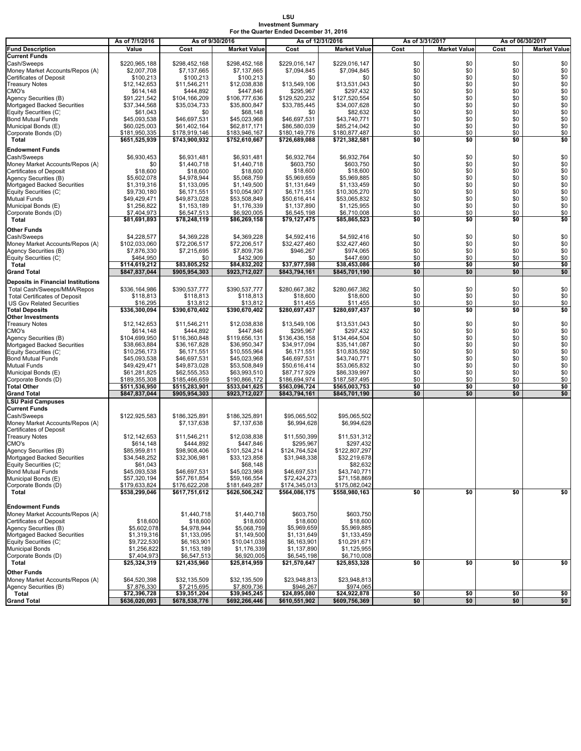#### **LSU Investment Summary For the Quarter Ended December 31, 2016**

|                                                                     | As of 7/1/2016                 | As of 9/30/2016                |                                | As of 12/31/2016               |                                | As of 3/31/2017 |                     | As of 06/30/2017 |                     |
|---------------------------------------------------------------------|--------------------------------|--------------------------------|--------------------------------|--------------------------------|--------------------------------|-----------------|---------------------|------------------|---------------------|
| <b>Fund Description</b>                                             | Value                          | Cost                           | <b>Market Value</b>            | Cost                           | <b>Market Value</b>            | Cost            | <b>Market Value</b> | Cost             | <b>Market Value</b> |
| <b>Current Funds</b>                                                |                                |                                |                                |                                |                                |                 |                     |                  |                     |
| Cash/Sweeps                                                         | \$220,965,188                  | \$298,452,168                  | \$298,452,168                  | \$229,016,147                  | \$229,016,147                  | \$0             | \$0                 | \$0              | \$0                 |
| Money Market Accounts/Repos (A)<br><b>Certificates of Deposit</b>   | \$2,007,708<br>\$100,213       | \$7,137,665<br>\$100,213       | \$7,137,665<br>\$100,213       | \$7,094,845<br>\$0             | \$7,094,845<br>\$0             | \$0<br>\$0      | \$0<br>\$0          | \$0<br>\$0       | \$0<br>\$0          |
| <b>Treasury Notes</b>                                               | \$12,142,653                   | \$11,546,211                   | \$12,038,838                   | \$13,549,106                   | \$13,531,043                   | \$0             | \$0                 | \$0              | \$0                 |
| CMO's                                                               | \$614,148                      | \$444,892                      | \$447,846                      | \$295,967                      | \$297,432                      | \$0             | \$0                 | \$0              | \$0                 |
| Agency Securities (B)                                               | \$91.221.542                   | \$104,166,209                  | \$106,777,636                  | \$129,520,232                  | \$127,520,554                  | \$0             | \$0                 | \$0              | $\$0$               |
| Mortgaged Backed Securities                                         | \$37,344,568                   | \$35,034,733                   | \$35,800,847                   | \$33,785,445                   | \$34,007,628                   | \$0             | \$0                 | \$0              | $\$0$               |
| Equity Securities (C)                                               | \$61,043                       | \$0                            | \$68,148                       | \$0                            | \$82,632                       | \$0             | \$0                 | \$0              | \$0                 |
| <b>Bond Mutual Funds</b><br>Municipal Bonds (E)                     | \$45,093,538<br>\$60,025,003   | \$46,697,531<br>\$61,402,164   | \$45,023,968<br>\$62,817,171   | \$46,697,531<br>\$86,580,039   | \$43,740,771<br>\$85,214,042   | \$0<br>\$0      | \$0<br>\$0          | \$0<br>\$0       | \$0<br>\$0          |
| Corporate Bonds (D)                                                 | \$181,950,335                  | \$178,919,146                  | \$183,946,167                  | \$180,149,776                  | \$180,877,487                  | \$0             | \$0                 | \$0              | \$0                 |
| Total                                                               | \$651,525,939                  | \$743,900,932                  | \$752,610,667                  | \$726,689,088                  | \$721,382,581                  | \$0             | \$0                 | \$0              | \$0                 |
| <b>Endowment Funds</b>                                              |                                |                                |                                |                                |                                |                 |                     |                  |                     |
| Cash/Sweeps                                                         | \$6,930,453                    | \$6,931,481                    | \$6,931,481                    | \$6,932,764                    | \$6,932,764                    | \$0             | \$0                 | \$0              | \$0                 |
| Money Market Accounts/Repos (A)                                     | \$0                            | \$1,440,718                    | \$1,440,718                    | \$603,750                      | \$603,750                      | \$0             | \$0                 | \$0              | \$0                 |
| <b>Certificates of Deposit</b>                                      | \$18,600                       | \$18,600                       | \$18,600                       | \$18,600                       | \$18,600                       | \$0             | \$0                 | \$0              | \$0                 |
| Agency Securities (B)                                               | \$5,602,078                    | \$4,978,944                    | \$5,068,759                    | \$5,969,659                    | \$5,969,885                    | \$0             | \$0                 | \$0              | \$0                 |
| Mortgaged Backed Securities                                         | \$1,319,316                    | \$1,133,095                    | \$1,149,500                    | \$1,131,649                    | \$1,133,459                    | \$0<br>\$0      | \$0<br>\$0          | \$0<br>\$0       | $\$0$               |
| Equity Securities (C)<br><b>Mutual Funds</b>                        | \$9,730,180<br>\$49,429,471    | \$6,171,551<br>\$49,873,028    | \$10,054,907<br>\$53,508,849   | \$6,171,551<br>\$50,616,414    | \$10,305,270<br>\$53,065,832   | \$0             | \$0                 | \$0              | $\$0$<br>\$0        |
| Municipal Bonds (E)                                                 | \$1,256,822                    | \$1,153,189                    | \$1,176,339                    | \$1,137,890                    | \$1,125,955                    | \$0             | \$0                 | \$0              | \$0                 |
| Corporate Bonds (D)                                                 | \$7,404,973                    | \$6,547,513                    | \$6,920,005                    | \$6,545,198                    | \$6,710,008                    | \$0             | \$0                 | \$0              | \$0                 |
| Total                                                               | \$81,691,893                   | \$78,248,119                   | \$86,269,158                   | \$79,127,475                   | \$85,865,523                   | \$0             | \$0                 | \$0              | \$0                 |
| Other Funds                                                         |                                |                                |                                |                                |                                |                 |                     |                  |                     |
| Cash/Sweeps                                                         | \$4,228,577                    | \$4,369,228                    | \$4,369,228                    | \$4,592,416                    | \$4,592,416                    | \$0             | \$0                 | \$0              | \$0                 |
| Money Market Accounts/Repos (A)                                     | \$102.033.060                  | \$72,206,517                   | \$72,206,517                   | \$32,427,460                   | \$32,427,460                   | \$0             | \$0                 | \$0              | \$0                 |
| Agency Securities (B)                                               | \$7,876,330                    | \$7,215,695                    | \$7,809,736                    | \$946,267                      | \$974,065                      | \$0             | \$0                 | \$0              | \$0                 |
| Equity Securities (C)                                               | \$464.950<br>\$114.619.212     | \$0<br>\$83.805.252            | \$432,909<br>\$84,832,202      | \$0<br>\$37.977.598            | \$447,690<br>\$38,453,086      | \$0<br>\$0      | \$0<br>\$0          | \$0<br>\$0       | \$0                 |
| Total<br><b>Grand Total</b>                                         | \$847,837,044                  | \$905,954,303                  | \$923,712,027                  | \$843,794,161                  | \$845,701,190                  | \$0             | \$0                 | \$0              | \$0<br>\$0          |
|                                                                     |                                |                                |                                |                                |                                |                 |                     |                  |                     |
| <b>Deposits in Financial Institutions</b>                           |                                |                                |                                |                                |                                |                 |                     |                  |                     |
| Total Cash/Sweeps/MMA/Repos<br><b>Total Certificates of Deposit</b> | \$336,164,986<br>\$118.813     | \$390,537,777<br>\$118,813     | \$390,537,777<br>\$118,813     | \$280,667,382<br>\$18,600      | \$280,667,382<br>\$18,600      | \$0<br>\$0      | \$0<br>\$0          | \$0<br>\$0       | \$0<br>\$0          |
| <b>US Gov Related Securities</b>                                    | \$16,295                       | \$13,812                       | \$13,812                       | \$11,455                       | \$11,455                       | \$0             | \$0                 | \$0              | \$0                 |
| <b>Total Deposits</b>                                               | \$336,300,094                  | \$390,670,402                  | \$390,670,402                  | \$280,697,437                  | \$280,697,437                  | \$0             | \$0                 | \$0              | \$0                 |
| <b>Other Investments</b>                                            |                                |                                |                                |                                |                                |                 |                     |                  |                     |
| <b>Treasury Notes</b>                                               | \$12,142,653                   | \$11,546,211                   | \$12,038,838                   | \$13,549,106                   | \$13,531,043                   | \$0             | \$0                 | \$0              | \$0                 |
| CMO's                                                               | \$614,148                      | \$444,892                      | \$447,846                      | \$295,967                      | \$297,432                      | \$0             | \$0                 | \$0              | \$0                 |
| Agency Securities (B)<br>Mortgaged Backed Securities                | \$104,699,950<br>\$38,663,884  | \$116,360,848<br>\$36,167,828  | \$119,656,131<br>\$36,950,347  | \$136,436,158<br>\$34,917,094  | \$134,464,504<br>\$35,141,087  | \$0<br>\$0      | \$0<br>\$0          | \$0<br>\$0       | \$0<br>\$0          |
| Equity Securities (C)                                               | \$10,256,173                   | \$6,171,551                    | \$10,555,964                   | \$6,171,551                    | \$10,835,592                   | \$0             | \$0                 | \$0              | \$0                 |
| <b>Bond Mutual Funds</b>                                            | \$45,093,538                   | \$46,697,531                   | \$45,023,968                   | \$46,697,531                   | \$43,740,771                   | \$0             | \$0                 | \$0              | \$0                 |
| Mutual Funds                                                        | \$49,429,471                   | \$49,873,028                   | \$53,508,849                   | \$50,616,414                   | \$53,065,832                   | \$0             | \$0                 | \$0              | \$0                 |
| Municipal Bonds (E)                                                 | \$61,281,825                   | \$62,555,353                   | \$63,993,510                   | \$87,717,929                   | \$86,339,997                   | \$0             | \$0                 | \$0              | \$0                 |
| Corporate Bonds (D)                                                 | \$189,355,308                  | \$185,466,659                  | \$190,866,172                  | \$186,694,974                  | \$187,587,495                  | \$0             | \$0<br>\$0          | \$0              | \$0                 |
| <b>Total Other</b><br><b>Grand Total</b>                            | \$511,536,950<br>\$847,837,044 | \$515,283,901<br>\$905,954,303 | \$533,041,625<br>\$923,712,027 | \$563,096,724<br>\$843,794,161 | \$565,003,753<br>\$845,701,190 | \$0<br>\$0      | \$0                 | \$0<br>\$0       | \$0<br>\$0          |
| <b>LSU Paid Campuses</b>                                            |                                |                                |                                |                                |                                |                 |                     |                  |                     |
| <b>Current Funds</b>                                                |                                |                                |                                |                                |                                |                 |                     |                  |                     |
| Cash/Sweeps                                                         | \$122,925,583                  | \$186,325,891                  | \$186,325,891                  | \$95,065,502                   | \$95,065,502                   |                 |                     |                  |                     |
| Money Market Accounts/Repos (A)                                     |                                | \$7,137,638                    | \$7,137,638                    | \$6,994,628                    | \$6,994,628                    |                 |                     |                  |                     |
| <b>Certificates of Deposit</b>                                      |                                |                                |                                |                                |                                |                 |                     |                  |                     |
| <b>Treasury Notes</b><br>CMO's                                      | \$12,142,653<br>\$614,148      | \$11,546,211<br>\$444,892      | \$12.038.838<br>\$447,846      | \$11,550,399<br>\$295,967      | \$11,531,312<br>\$297,432      |                 |                     |                  |                     |
| Agency Securities (B)                                               | \$85,959,811                   | \$98,908,406                   | \$101,524,214                  | \$124,764,524                  | \$122,807,297                  |                 |                     |                  |                     |
| Mortgaged Backed Securities                                         | \$34,548,252                   | \$32,306,981                   | \$33,123,858                   | \$31,948,338                   | \$32,219,678                   |                 |                     |                  |                     |
| Equity Securities (C)                                               | \$61,043                       |                                | \$68,148                       |                                | \$82,632                       |                 |                     |                  |                     |
| <b>Bond Mutual Funds</b>                                            | \$45,093,538                   | \$46,697,531                   | \$45,023,968                   | \$46,697,531                   | \$43,740,771                   |                 |                     |                  |                     |
| Municipal Bonds (E)<br>Corporate Bonds (D)                          | \$57,320,194<br>\$179,633,824  | \$57,761,854<br>\$176,622,208  | \$59,166,554                   | \$72,424,273<br>\$174,345,013  | \$71,158,869<br>\$175,082,042  |                 |                     |                  |                     |
| Total                                                               | \$538,299,046                  | \$617,751,612                  | \$181,649,287<br>\$626,506,242 | \$564,086,175                  | \$558,980,163                  | \$0             | \$0                 | \$0              | \$0                 |
|                                                                     |                                |                                |                                |                                |                                |                 |                     |                  |                     |
| <b>Endowment Funds</b>                                              |                                |                                |                                |                                |                                |                 |                     |                  |                     |
| Money Market Accounts/Repos (A)                                     |                                | \$1,440,718                    | \$1,440,718                    | \$603,750                      | \$603,750                      |                 |                     |                  |                     |
| <b>Certificates of Deposit</b>                                      | \$18,600                       | \$18,600                       | \$18,600                       | \$18,600                       | \$18,600                       |                 |                     |                  |                     |
| Agency Securities (B)                                               | \$5,602,078                    | \$4,978,944                    | \$5,068,759                    | \$5,969,659                    | \$5,969,885                    |                 |                     |                  |                     |
| Mortgaged Backed Securities<br>Equity Securities (C)                | \$1,319,316<br>\$9,722,530     | \$1,133,095<br>\$6,163,901     | \$1,149,500<br>\$10,041,038    | \$1,131,649<br>\$6,163,901     | \$1,133,459<br>\$10,291,671    |                 |                     |                  |                     |
| <b>Municipal Bonds</b>                                              | \$1,256,822                    | \$1,153,189                    | \$1,176,339                    | \$1,137,890                    | \$1,125,955                    |                 |                     |                  |                     |
| Corporate Bonds (D)                                                 | \$7,404,973                    | \$6,547,513                    | \$6,920,005                    | \$6,545,198                    | \$6,710,008                    |                 |                     |                  |                     |
| Total                                                               | \$25,324,319                   | \$21,435,960                   | \$25,814,959                   | \$21,570,647                   | \$25,853,328                   | \$0             | \$0                 | \$0              | \$0                 |
| <b>Other Funds</b>                                                  |                                |                                |                                |                                |                                |                 |                     |                  |                     |
| Money Market Accounts/Repos (A)                                     | \$64,520,398                   | \$32,135,509                   | \$32,135,509                   | \$23,948,813                   | \$23,948,813                   |                 |                     |                  |                     |
| Agency Securities (B)                                               | \$7,876,330                    | \$7,215,695                    | \$7,809,736                    | \$946,267                      | \$974,065                      |                 |                     |                  |                     |
| Total                                                               | \$72,396,728                   | \$39,351,204                   | \$39,945,245                   | \$24,895,080                   | \$24,922,878                   | \$0             | \$0                 | \$0              | \$0                 |
| <b>Grand Total</b>                                                  | \$636,020,093                  | \$678,538,776                  | \$692,266,446                  | \$610,551,902                  | \$609,756,369                  | \$0             | \$0                 | \$0              | \$0                 |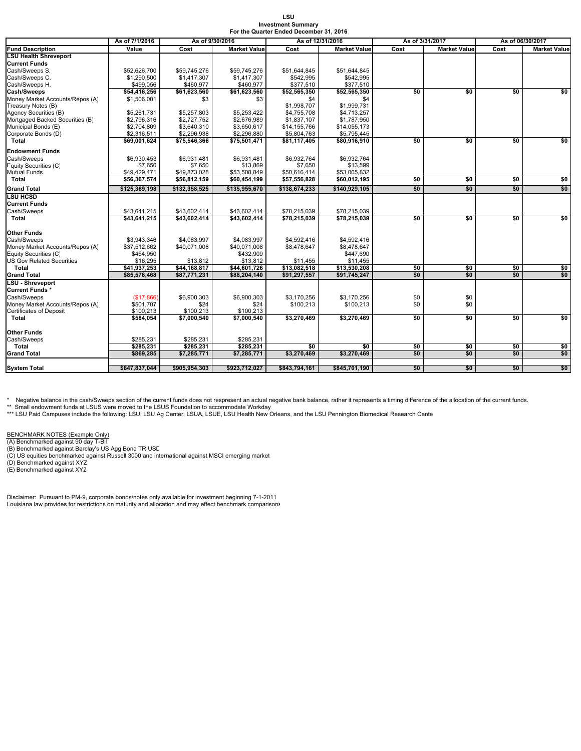| LSU                                     |
|-----------------------------------------|
| <b>Investment Summary</b>               |
| For the Quarter Ended December 31, 2016 |

| <b>Fund Description</b><br><b>LSU Health Shreveport</b> | As of 7/1/2016<br>Value | As of 9/30/2016          |                          | As of 12/31/2016   |                     | As of 3/31/2017             |            |                             | As of 06/30/2017     |  |
|---------------------------------------------------------|-------------------------|--------------------------|--------------------------|--------------------|---------------------|-----------------------------|------------|-----------------------------|----------------------|--|
|                                                         |                         | Cost                     | <b>Market Value</b>      | Cost               | <b>Market Value</b> | Cost<br><b>Market Value</b> |            | Cost<br><b>Market Value</b> |                      |  |
|                                                         |                         |                          |                          |                    |                     |                             |            |                             |                      |  |
| <b>Current Funds</b>                                    |                         |                          |                          |                    |                     |                             |            |                             |                      |  |
| Cash/Sweeps S.                                          | \$52,626,700            | \$59,745,276             | \$59,745,276             | \$51,644,845       | \$51,644,845        |                             |            |                             |                      |  |
| Cash/Sweeps C.                                          | \$1,290,500             | \$1,417,307              | \$1,417,307              | \$542,995          | \$542,995           |                             |            |                             |                      |  |
| Cash/Sweeps H.                                          | \$499,056               | \$460,977                | \$460,977                | \$377,510          | \$377,510           |                             |            |                             |                      |  |
| Cash/Sweeps                                             | \$54,416,256            | \$61,623,560             | \$61,623,560             | \$52,565,350       | \$52,565,350        | \$0                         | \$0        | \$0                         | \$0                  |  |
| Money Market Accounts/Repos (A)                         | \$1,506,001             | \$3                      | \$3                      | \$4                | \$4                 |                             |            |                             |                      |  |
| Treasury Notes (B)                                      |                         |                          |                          | \$1,998,707        | \$1,999,731         |                             |            |                             |                      |  |
| Agency Securities (B)                                   | \$5,261,731             | \$5,257,803              | \$5,253,422              | \$4,755,708        | \$4,713,257         |                             |            |                             |                      |  |
| Mortgaged Backed Securities (B)                         | \$2,796,316             | \$2,727,752              | \$2,676,989              | \$1,837,107        | \$1,787,950         |                             |            |                             |                      |  |
| Municipal Bonds (E)                                     | \$2,704,809             | \$3,640,310              | \$3,650,617              | \$14,155,766       | \$14,055,173        |                             |            |                             |                      |  |
| Corporate Bonds (D)                                     | \$2,316,511             | \$2,296,938              | \$2,296,880              | \$5,804,763        | \$5,795,445         |                             |            |                             |                      |  |
| <b>Total</b>                                            | \$69,001,624            | \$75,546,366             | \$75,501,471             | \$81,117,405       | \$80,916,910        | \$0                         | \$0        | \$0                         | \$0                  |  |
| <b>Endowment Funds</b>                                  |                         |                          |                          |                    |                     |                             |            |                             |                      |  |
| Cash/Sweeps                                             | \$6.930.453             | \$6,931,481              | \$6.931.481              | \$6,932,764        | \$6.932.764         |                             |            |                             |                      |  |
| Equity Securities (C)                                   | \$7.650                 | \$7.650                  | \$13,869                 | \$7,650            | \$13.599            |                             |            |                             |                      |  |
| Mutual Funds                                            | \$49,429,471            | \$49,873,028             | \$53,508,849             | \$50,616,414       | \$53,065,832        |                             |            |                             |                      |  |
| Total                                                   | \$56,367,574            | \$56,812,159             | \$60,454,199             | \$57,556,828       | \$60,012,195        | \$0                         | \$0        | \$0                         | $\frac{1}{2}$        |  |
| <b>Grand Total</b>                                      | \$125,369,198           | \$132,358,525            | \$135,955,670            | \$138,674,233      | \$140,929,105       | \$0                         | \$0        | \$0                         | \$0                  |  |
| <b>LSU HCSD</b>                                         |                         |                          |                          |                    |                     |                             |            |                             |                      |  |
| <b>Current Funds</b>                                    |                         |                          |                          |                    |                     |                             |            |                             |                      |  |
| Cash/Sweeps                                             | \$43,641,215            | \$43,602,414             | \$43,602,414             | \$78,215,039       | \$78,215,039        |                             |            |                             |                      |  |
| Total                                                   | \$43,641,215            | \$43.602.414             | \$43,602,414             | \$78,215,039       | \$78,215,039        | \$0                         | \$0        | \$0                         | \$0                  |  |
|                                                         |                         |                          |                          |                    |                     |                             |            |                             |                      |  |
| <b>Other Funds</b>                                      |                         |                          |                          |                    |                     |                             |            |                             |                      |  |
| Cash/Sweeps                                             | \$3,943,346             | \$4,083,997              | \$4,083,997              | \$4,592,416        | \$4,592,416         |                             |            |                             |                      |  |
| Money Market Accounts/Repos (A)                         | \$37,512,662            | \$40,071,008             | \$40,071,008             | \$8,478,647        | \$8,478,647         |                             |            |                             |                      |  |
| Equity Securities (C)                                   | \$464,950               |                          | \$432,909                |                    | \$447,690           |                             |            |                             |                      |  |
| <b>US Gov Related Securities</b>                        | \$16,295                | \$13,812                 | \$13,812                 | \$11,455           | \$11,455            |                             |            |                             |                      |  |
| Total                                                   | \$41.937.253            | \$44.168.817             | \$44.601.726             | \$13,082,518       | \$13,530,208        | \$0                         | \$0        | \$0                         | $\frac{1}{2}$        |  |
| <b>Grand Total</b>                                      | \$85,578,468            | \$87,771,231             | \$88,204,140             | \$91,297,557       | \$91,745,247        | \$0                         | \$0        | \$0                         | \$0                  |  |
| <b>LSU - Shreveport</b>                                 |                         |                          |                          |                    |                     |                             |            |                             |                      |  |
| Current Funds*                                          |                         |                          |                          |                    |                     |                             |            |                             |                      |  |
| Cash/Sweeps                                             | (\$17,866)              | \$6,900,303              | \$6,900,303              | \$3,170,256        | \$3,170,256         | \$0                         | \$0        |                             |                      |  |
| Money Market Accounts/Repos (A)                         | \$501,707               | \$24                     | \$24                     | \$100,213          | \$100,213           | \$0                         | \$0        |                             |                      |  |
| Certificates of Deposit                                 | \$100,213               | \$100,213                | \$100,213                |                    |                     |                             |            |                             |                      |  |
| Total                                                   | \$584,054               | \$7,000,540              | \$7,000,540              | \$3,270,469        | \$3,270,469         | \$0                         | \$0        | \$0                         | \$0                  |  |
|                                                         |                         |                          |                          |                    |                     |                             |            |                             |                      |  |
| Other Funds                                             |                         |                          |                          |                    |                     |                             |            |                             |                      |  |
| Cash/Sweeps                                             | \$285,231               | \$285,231                | \$285,231                |                    | \$0                 |                             |            |                             |                      |  |
| Total<br><b>Grand Total</b>                             | \$285,231<br>\$869,285  | \$285,231<br>\$7,285,771 | \$285,231<br>\$7,285,771 | \$0<br>\$3,270,469 | \$3,270,469         | \$0<br>\$0                  | \$0<br>\$0 | \$0<br>\$0                  | $\frac{1}{2}$<br>\$0 |  |
|                                                         |                         |                          |                          |                    |                     |                             |            |                             |                      |  |
| <b>System Total</b>                                     | \$847,837,044           | \$905,954,303            | \$923,712,027            | \$843,794,161      | \$845,701,190       | \$0                         | \$0        | \$0                         | \$0                  |  |

\* Negative balance in the cash/Sweeps section of the current funds does not respresent an actual negative bank balance, rather it represents a timing difference of the allocation of the current funds.

\*\* Small endowment funds at LSUS were moved to the LSUS Foundation to accommodate Workday<br>\*\*\* LSU Paid Campuses include the following: LSU, LSU Ag Center, LSUA, LSUE, LSU Health New Orleans, and the LSU Pennington Biomedic

BENCHMARK NOTES (Example Only)<br>(A) Benchmarked against 90 day T-Bil<br>(B) Benchmarked against Barclay's US Agg Bond TR USD<br>(C) US equities benchmarked against Russell 3000 and international against MSCI emerging market<br>(D) B

Disclaimer: Pursuant to PM-9, corporate bonds/notes only available for investment beginning 7-1-2011 Louisiana law provides for restrictions on maturity and allocation and may effect benchmark comparisons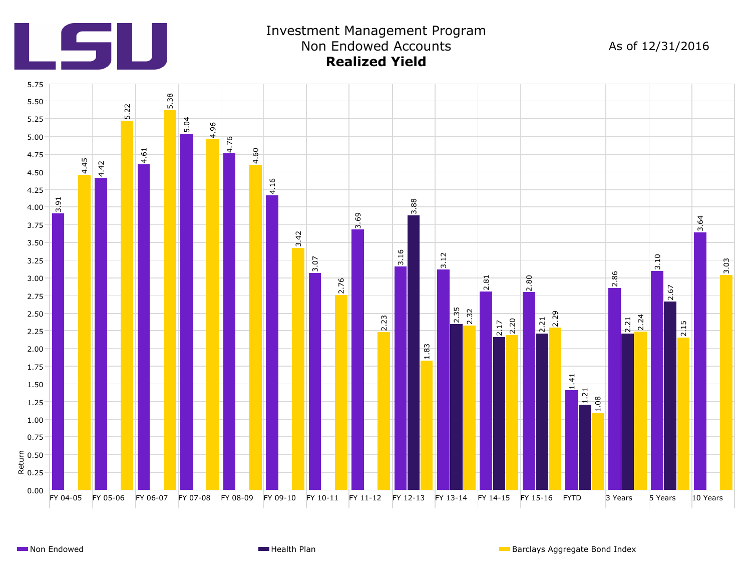

# Investment Management Program Non Endowed Accounts **Realized Yield**

As of 12/31/2016

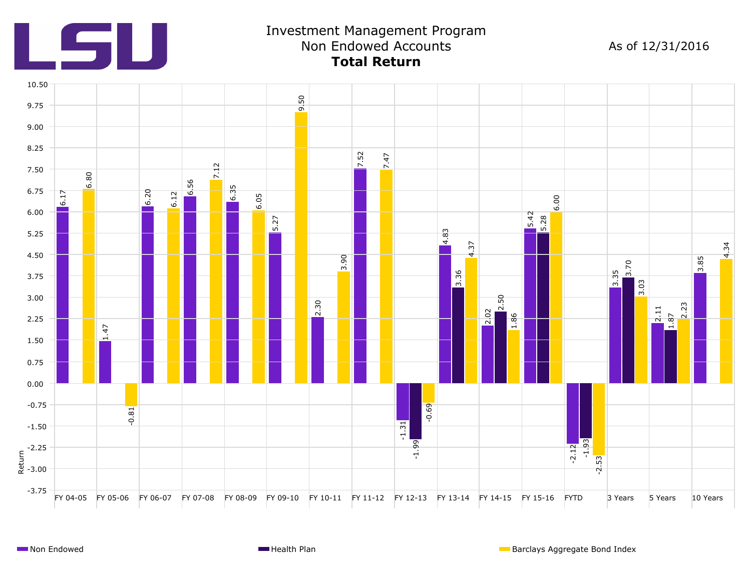

# Investment Management Program Non Endowed Accounts **Total Return**

As of 12/31/2016

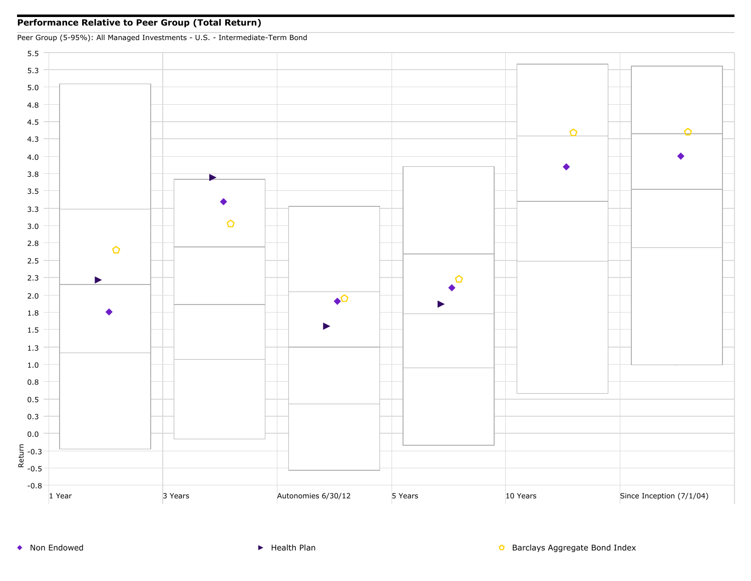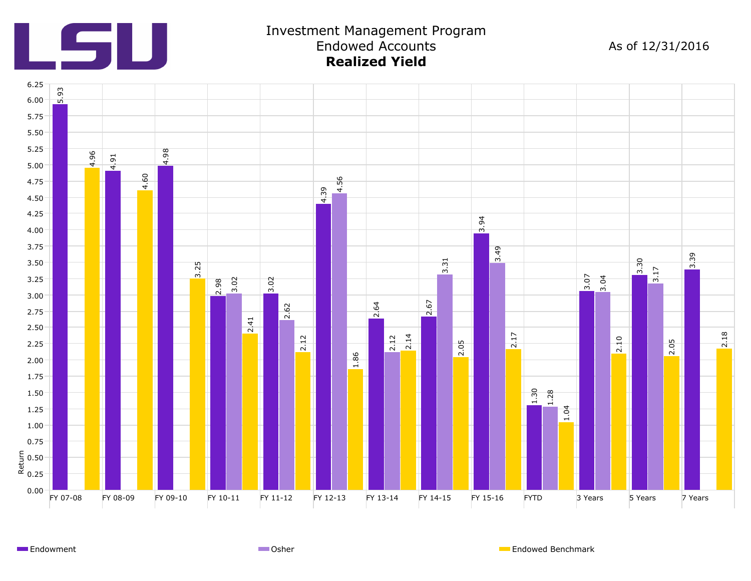

#### Investment Management Program Endowed Accounts **Realized Yield**

As of 12/31/2016



Endowment **Endowment Endowed Benchmark** Communication Communication Communication Communication Communication Communication Communication Communication Communication Communication Communication Communication Communication